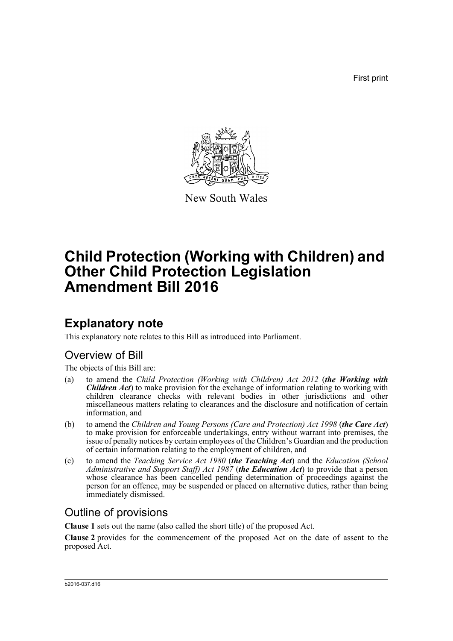First print



New South Wales

# **Child Protection (Working with Children) and Other Child Protection Legislation Amendment Bill 2016**

## **Explanatory note**

This explanatory note relates to this Bill as introduced into Parliament.

## Overview of Bill

The objects of this Bill are:

- (a) to amend the *Child Protection (Working with Children) Act 2012* (*the Working with Children Act*) to make provision for the exchange of information relating to working with children clearance checks with relevant bodies in other jurisdictions and other miscellaneous matters relating to clearances and the disclosure and notification of certain information, and
- (b) to amend the *Children and Young Persons (Care and Protection) Act 1998* (*the Care Act*) to make provision for enforceable undertakings, entry without warrant into premises, the issue of penalty notices by certain employees of the Children's Guardian and the production of certain information relating to the employment of children, and
- (c) to amend the *Teaching Service Act 1980* (*the Teaching Act*) and the *Education (School Administrative and Support Staff) Act 1987* (*the Education Act*) to provide that a person whose clearance has been cancelled pending determination of proceedings against the person for an offence, may be suspended or placed on alternative duties, rather than being immediately dismissed.

## Outline of provisions

**Clause 1** sets out the name (also called the short title) of the proposed Act.

**Clause 2** provides for the commencement of the proposed Act on the date of assent to the proposed Act.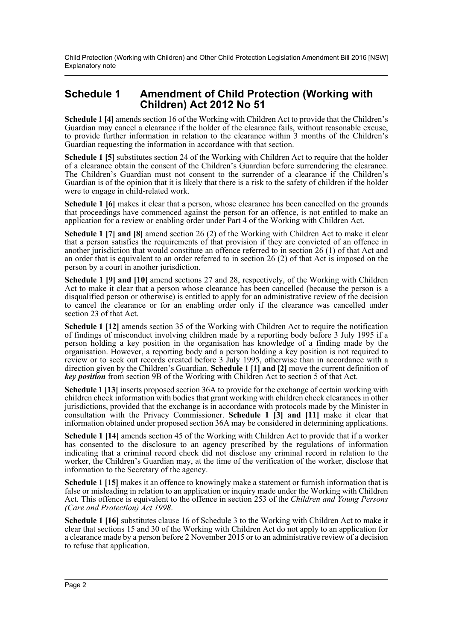Child Protection (Working with Children) and Other Child Protection Legislation Amendment Bill 2016 [NSW] Explanatory note

## **Schedule 1 Amendment of Child Protection (Working with Children) Act 2012 No 51**

**Schedule 1 [4]** amends section 16 of the Working with Children Act to provide that the Children's Guardian may cancel a clearance if the holder of the clearance fails, without reasonable excuse, to provide further information in relation to the clearance within 3 months of the Children's Guardian requesting the information in accordance with that section.

**Schedule 1 [5]** substitutes section 24 of the Working with Children Act to require that the holder of a clearance obtain the consent of the Children's Guardian before surrendering the clearance. The Children's Guardian must not consent to the surrender of a clearance if the Children's Guardian is of the opinion that it is likely that there is a risk to the safety of children if the holder were to engage in child-related work.

**Schedule 1 [6]** makes it clear that a person, whose clearance has been cancelled on the grounds that proceedings have commenced against the person for an offence, is not entitled to make an application for a review or enabling order under Part 4 of the Working with Children Act.

**Schedule 1 [7] and [8]** amend section 26 (2) of the Working with Children Act to make it clear that a person satisfies the requirements of that provision if they are convicted of an offence in another jurisdiction that would constitute an offence referred to in section 26 (1) of that Act and an order that is equivalent to an order referred to in section 26 (2) of that Act is imposed on the person by a court in another jurisdiction.

**Schedule 1 [9] and [10]** amend sections 27 and 28, respectively, of the Working with Children Act to make it clear that a person whose clearance has been cancelled (because the person is a disqualified person or otherwise) is entitled to apply for an administrative review of the decision to cancel the clearance or for an enabling order only if the clearance was cancelled under section 23 of that Act.

**Schedule 1 [12]** amends section 35 of the Working with Children Act to require the notification of findings of misconduct involving children made by a reporting body before 3 July 1995 if a person holding a key position in the organisation has knowledge of a finding made by the organisation. However, a reporting body and a person holding a key position is not required to review or to seek out records created before 3 July 1995, otherwise than in accordance with a direction given by the Children's Guardian. **Schedule 1 [1] and [2]** move the current definition of *key position* from section 9B of the Working with Children Act to section 5 of that Act.

**Schedule 1 [13]** inserts proposed section 36A to provide for the exchange of certain working with children check information with bodies that grant working with children check clearances in other jurisdictions, provided that the exchange is in accordance with protocols made by the Minister in consultation with the Privacy Commissioner. **Schedule 1 [3] and [11]** make it clear that information obtained under proposed section 36A may be considered in determining applications.

**Schedule 1 [14]** amends section 45 of the Working with Children Act to provide that if a worker has consented to the disclosure to an agency prescribed by the regulations of information indicating that a criminal record check did not disclose any criminal record in relation to the worker, the Children's Guardian may, at the time of the verification of the worker, disclose that information to the Secretary of the agency.

**Schedule 1 [15]** makes it an offence to knowingly make a statement or furnish information that is false or misleading in relation to an application or inquiry made under the Working with Children Act. This offence is equivalent to the offence in section 253 of the *Children and Young Persons (Care and Protection) Act 1998*.

**Schedule 1 [16]** substitutes clause 16 of Schedule 3 to the Working with Children Act to make it clear that sections 15 and 30 of the Working with Children Act do not apply to an application for a clearance made by a person before 2 November 2015 or to an administrative review of a decision to refuse that application.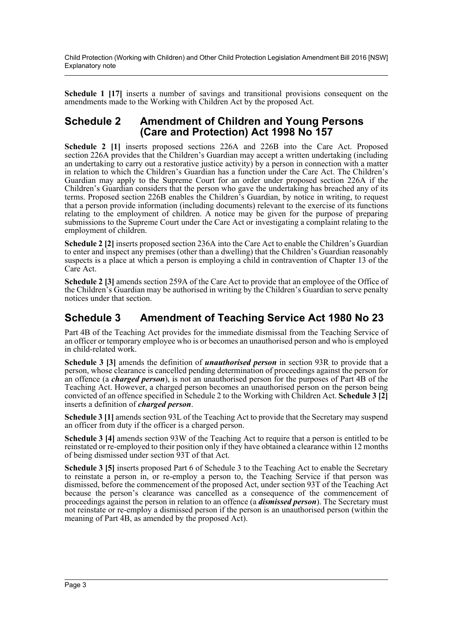Child Protection (Working with Children) and Other Child Protection Legislation Amendment Bill 2016 [NSW] Explanatory note

**Schedule 1 [17]** inserts a number of savings and transitional provisions consequent on the amendments made to the Working with Children Act by the proposed Act.

## **Schedule 2 Amendment of Children and Young Persons (Care and Protection) Act 1998 No 157**

**Schedule 2 [1]** inserts proposed sections 226A and 226B into the Care Act. Proposed section 226A provides that the Children's Guardian may accept a written undertaking (including an undertaking to carry out a restorative justice activity) by a person in connection with a matter in relation to which the Children's Guardian has a function under the Care Act. The Children's Guardian may apply to the Supreme Court for an order under proposed section 226A if the Children's Guardian considers that the person who gave the undertaking has breached any of its terms. Proposed section 226B enables the Children's Guardian, by notice in writing, to request that a person provide information (including documents) relevant to the exercise of its functions relating to the employment of children. A notice may be given for the purpose of preparing submissions to the Supreme Court under the Care Act or investigating a complaint relating to the employment of children.

**Schedule 2 [2]** inserts proposed section 236A into the Care Act to enable the Children's Guardian to enter and inspect any premises (other than a dwelling) that the Children's Guardian reasonably suspects is a place at which a person is employing a child in contravention of Chapter 13 of the Care Act.

**Schedule 2 [3]** amends section 259A of the Care Act to provide that an employee of the Office of the Children's Guardian may be authorised in writing by the Children's Guardian to serve penalty notices under that section.

## **Schedule 3 Amendment of Teaching Service Act 1980 No 23**

Part 4B of the Teaching Act provides for the immediate dismissal from the Teaching Service of an officer or temporary employee who is or becomes an unauthorised person and who is employed in child-related work.

**Schedule 3 [3]** amends the definition of *unauthorised person* in section 93R to provide that a person, whose clearance is cancelled pending determination of proceedings against the person for an offence (a *charged person*), is not an unauthorised person for the purposes of Part 4B of the Teaching Act. However, a charged person becomes an unauthorised person on the person being convicted of an offence specified in Schedule 2 to the Working with Children Act. **Schedule 3 [2]** inserts a definition of *charged person*.

**Schedule 3 [1]** amends section 93L of the Teaching Act to provide that the Secretary may suspend an officer from duty if the officer is a charged person.

**Schedule 3 [4]** amends section 93W of the Teaching Act to require that a person is entitled to be reinstated or re-employed to their position only if they have obtained a clearance within 12 months of being dismissed under section 93T of that Act.

**Schedule 3 [5]** inserts proposed Part 6 of Schedule 3 to the Teaching Act to enable the Secretary to reinstate a person in, or re-employ a person to, the Teaching Service if that person was dismissed, before the commencement of the proposed Act, under section 93T of the Teaching Act because the person's clearance was cancelled as a consequence of the commencement of proceedings against the person in relation to an offence (a *dismissed person*). The Secretary must not reinstate or re-employ a dismissed person if the person is an unauthorised person (within the meaning of Part 4B, as amended by the proposed Act).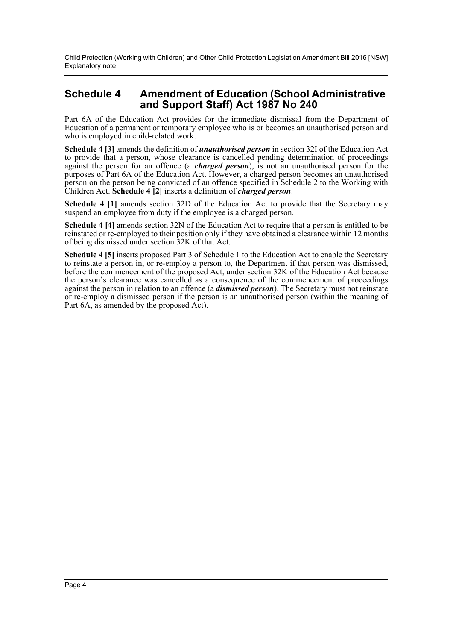Child Protection (Working with Children) and Other Child Protection Legislation Amendment Bill 2016 [NSW] Explanatory note

## **Schedule 4 Amendment of Education (School Administrative and Support Staff) Act 1987 No 240**

Part 6A of the Education Act provides for the immediate dismissal from the Department of Education of a permanent or temporary employee who is or becomes an unauthorised person and who is employed in child-related work.

**Schedule 4 [3]** amends the definition of *unauthorised person* in section 32I of the Education Act to provide that a person, whose clearance is cancelled pending determination of proceedings against the person for an offence (a *charged person*), is not an unauthorised person for the purposes of Part 6A of the Education Act. However, a charged person becomes an unauthorised person on the person being convicted of an offence specified in Schedule 2 to the Working with Children Act. **Schedule 4 [2]** inserts a definition of *charged person*.

**Schedule 4 [1]** amends section 32D of the Education Act to provide that the Secretary may suspend an employee from duty if the employee is a charged person.

**Schedule 4 [4]** amends section 32N of the Education Act to require that a person is entitled to be reinstated or re-employed to their position only if they have obtained a clearance within 12 months of being dismissed under section 32K of that Act.

**Schedule 4 [5]** inserts proposed Part 3 of Schedule 1 to the Education Act to enable the Secretary to reinstate a person in, or re-employ a person to, the Department if that person was dismissed, before the commencement of the proposed Act, under section 32K of the Education Act because the person's clearance was cancelled as a consequence of the commencement of proceedings against the person in relation to an offence (a *dismissed person*). The Secretary must not reinstate or re-employ a dismissed person if the person is an unauthorised person (within the meaning of Part 6A, as amended by the proposed Act).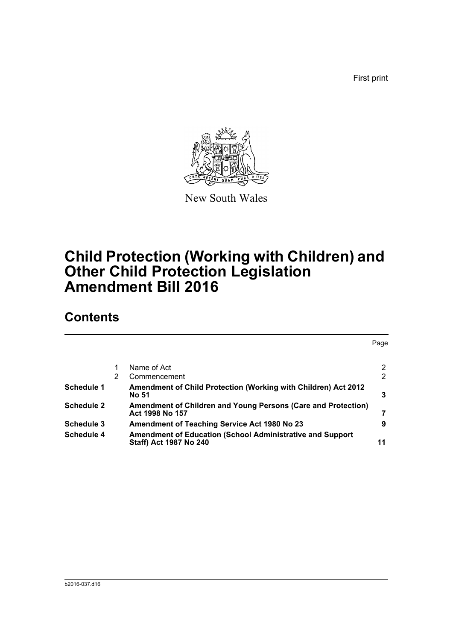First print



New South Wales

# **Child Protection (Working with Children) and Other Child Protection Legislation Amendment Bill 2016**

## **Contents**

|                   |   |                                                                                            | Page |
|-------------------|---|--------------------------------------------------------------------------------------------|------|
|                   |   | Name of Act                                                                                | 2    |
|                   | 2 | Commencement                                                                               | 2    |
| <b>Schedule 1</b> |   | Amendment of Child Protection (Working with Children) Act 2012<br>No 51                    | 3    |
| Schedule 2        |   | Amendment of Children and Young Persons (Care and Protection)<br>Act 1998 No 157           | 7    |
| Schedule 3        |   | <b>Amendment of Teaching Service Act 1980 No 23</b>                                        | 9    |
| Schedule 4        |   | <b>Amendment of Education (School Administrative and Support</b><br>Staff) Act 1987 No 240 | 11   |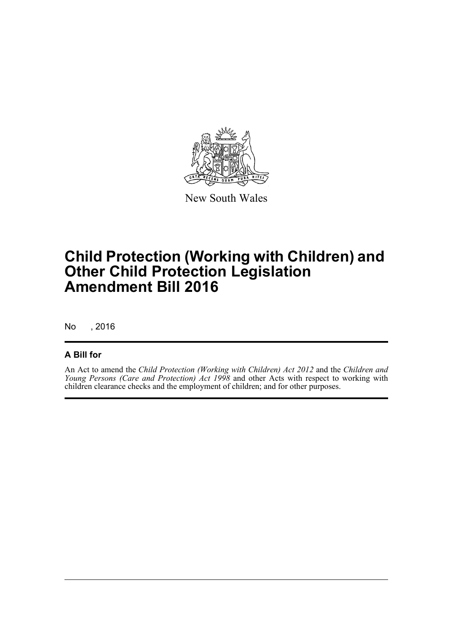

New South Wales

# **Child Protection (Working with Children) and Other Child Protection Legislation Amendment Bill 2016**

No , 2016

### **A Bill for**

An Act to amend the *Child Protection (Working with Children) Act 2012* and the *Children and Young Persons (Care and Protection) Act 1998* and other Acts with respect to working with children clearance checks and the employment of children; and for other purposes.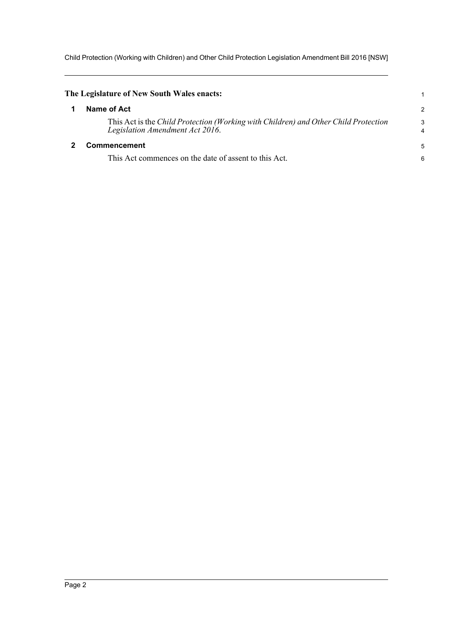Child Protection (Working with Children) and Other Child Protection Legislation Amendment Bill 2016 [NSW]

<span id="page-6-1"></span><span id="page-6-0"></span>

| The Legislature of New South Wales enacts: |                                                                                                                        |                     |  |  |
|--------------------------------------------|------------------------------------------------------------------------------------------------------------------------|---------------------|--|--|
|                                            | Name of Act                                                                                                            | $\overline{c}$      |  |  |
|                                            | This Act is the Child Protection (Working with Children) and Other Child Protection<br>Legislation Amendment Act 2016. | 3<br>$\overline{4}$ |  |  |
|                                            | <b>Commencement</b>                                                                                                    | 5                   |  |  |
|                                            | This Act commences on the date of assent to this Act.                                                                  | 6                   |  |  |
|                                            |                                                                                                                        |                     |  |  |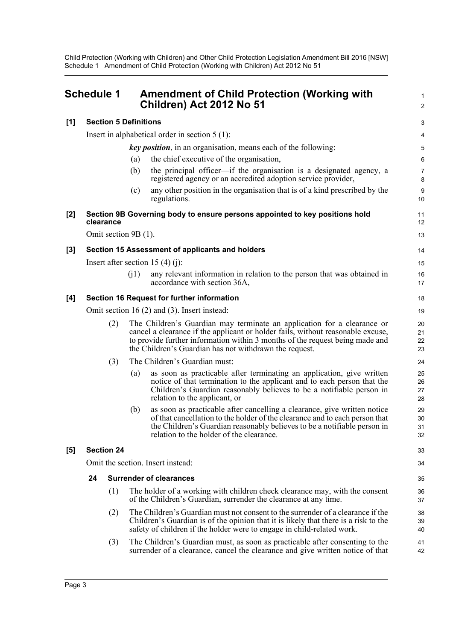<span id="page-7-0"></span>

| <b>Schedule 1</b> |                                                   | <b>Amendment of Child Protection (Working with</b><br>Children) Act 2012 No 51                                                                                                                                                                                                                       |                      |  |  |  |
|-------------------|---------------------------------------------------|------------------------------------------------------------------------------------------------------------------------------------------------------------------------------------------------------------------------------------------------------------------------------------------------------|----------------------|--|--|--|
| [1]               |                                                   | <b>Section 5 Definitions</b>                                                                                                                                                                                                                                                                         | 3                    |  |  |  |
|                   |                                                   | Insert in alphabetical order in section $5(1)$ :                                                                                                                                                                                                                                                     | 4                    |  |  |  |
|                   |                                                   | <b>key position</b> , in an organisation, means each of the following:                                                                                                                                                                                                                               | 5                    |  |  |  |
|                   |                                                   | the chief executive of the organisation,<br>(a)                                                                                                                                                                                                                                                      | 6                    |  |  |  |
|                   |                                                   | the principal officer—if the organisation is a designated agency, a<br>(b)<br>registered agency or an accredited adoption service provider,                                                                                                                                                          | 7<br>8               |  |  |  |
|                   |                                                   | any other position in the organisation that is of a kind prescribed by the<br>(c)<br>regulations.                                                                                                                                                                                                    | 9<br>10              |  |  |  |
| [2]               | clearance                                         | Section 9B Governing body to ensure persons appointed to key positions hold                                                                                                                                                                                                                          | 11<br>12             |  |  |  |
|                   | Omit section 9B (1).                              |                                                                                                                                                                                                                                                                                                      | 13                   |  |  |  |
| [3]               |                                                   | Section 15 Assessment of applicants and holders                                                                                                                                                                                                                                                      | 14                   |  |  |  |
|                   |                                                   | Insert after section 15 (4) (j):                                                                                                                                                                                                                                                                     | 15                   |  |  |  |
|                   |                                                   | (i1)<br>any relevant information in relation to the person that was obtained in<br>accordance with section 36A,                                                                                                                                                                                      | 16<br>17             |  |  |  |
| [4]               | Section 16 Request for further information        |                                                                                                                                                                                                                                                                                                      |                      |  |  |  |
|                   | Omit section 16 $(2)$ and $(3)$ . Insert instead: |                                                                                                                                                                                                                                                                                                      |                      |  |  |  |
|                   | (2)                                               | The Children's Guardian may terminate an application for a clearance or<br>cancel a clearance if the applicant or holder fails, without reasonable excuse,<br>to provide further information within 3 months of the request being made and<br>the Children's Guardian has not withdrawn the request. | 20<br>21<br>22<br>23 |  |  |  |
|                   | (3)                                               | The Children's Guardian must:                                                                                                                                                                                                                                                                        | 24                   |  |  |  |
|                   |                                                   | as soon as practicable after terminating an application, give written<br>(a)<br>notice of that termination to the applicant and to each person that the<br>Children's Guardian reasonably believes to be a notifiable person in<br>relation to the applicant, or                                     | 25<br>26<br>27<br>28 |  |  |  |
|                   |                                                   | as soon as practicable after cancelling a clearance, give written notice<br>(b)<br>of that cancellation to the holder of the clearance and to each person that<br>the Children's Guardian reasonably believes to be a notifiable person in<br>relation to the holder of the clearance.               | 29<br>30<br>31<br>32 |  |  |  |
| [5]               | <b>Section 24</b>                                 |                                                                                                                                                                                                                                                                                                      | 33                   |  |  |  |
|                   | Omit the section. Insert instead:                 |                                                                                                                                                                                                                                                                                                      |                      |  |  |  |
|                   | 24                                                | <b>Surrender of clearances</b>                                                                                                                                                                                                                                                                       | 35                   |  |  |  |
|                   | (1)                                               | The holder of a working with children check clearance may, with the consent<br>of the Children's Guardian, surrender the clearance at any time.                                                                                                                                                      | 36<br>37             |  |  |  |
|                   | (2)                                               | The Children's Guardian must not consent to the surrender of a clearance if the<br>Children's Guardian is of the opinion that it is likely that there is a risk to the<br>safety of children if the holder were to engage in child-related work.                                                     | 38<br>39<br>40       |  |  |  |
|                   | (3)                                               | The Children's Guardian must, as soon as practicable after consenting to the<br>surrender of a clearance, cancel the clearance and give written notice of that                                                                                                                                       | 41<br>42             |  |  |  |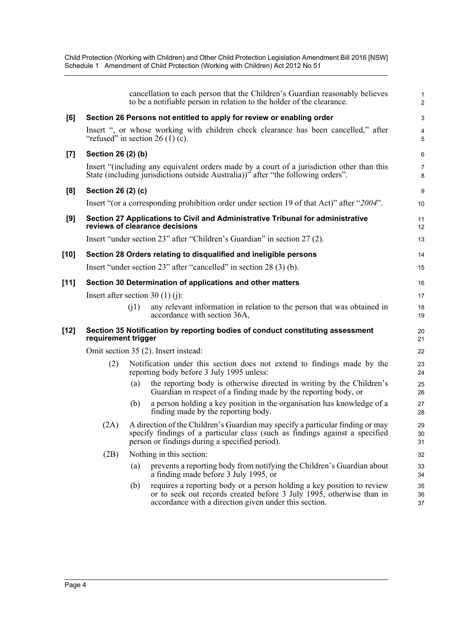|        |                                  |      | cancellation to each person that the Children's Guardian reasonably believes<br>to be a notifiable person in relation to the holder of the clearance.                                                            | $\mathbf{1}$<br>2            |
|--------|----------------------------------|------|------------------------------------------------------------------------------------------------------------------------------------------------------------------------------------------------------------------|------------------------------|
| [6]    |                                  |      | Section 26 Persons not entitled to apply for review or enabling order                                                                                                                                            | 3                            |
|        |                                  |      | Insert ", or whose working with children check clearance has been cancelled," after<br>"refused" in section $26(1)(c)$ .                                                                                         | $\overline{\mathbf{4}}$<br>5 |
| [7]    | Section 26 (2) (b)               |      |                                                                                                                                                                                                                  | 6                            |
|        |                                  |      | Insert "(including any equivalent orders made by a court of a jurisdiction other than this<br>State (including jurisdictions outside Australia))" after "the following orders".                                  | $\overline{7}$<br>8          |
| [8]    | Section 26 (2) (c)               |      |                                                                                                                                                                                                                  | 9                            |
|        |                                  |      | Insert "(or a corresponding prohibition order under section 19 of that Act)" after "2004".                                                                                                                       | 10                           |
| [9]    |                                  |      | Section 27 Applications to Civil and Administrative Tribunal for administrative<br>reviews of clearance decisions                                                                                                | 11<br>12                     |
|        |                                  |      | Insert "under section 23" after "Children's Guardian" in section 27 (2).                                                                                                                                         | 13                           |
| [10]   |                                  |      | Section 28 Orders relating to disqualified and ineligible persons                                                                                                                                                | 14                           |
|        |                                  |      | Insert "under section 23" after "cancelled" in section 28 (3) (b).                                                                                                                                               | 15                           |
| $[11]$ |                                  |      | Section 30 Determination of applications and other matters                                                                                                                                                       | 16                           |
|        | Insert after section 30 (1) (j): |      |                                                                                                                                                                                                                  | 17                           |
|        |                                  | (i1) | any relevant information in relation to the person that was obtained in<br>accordance with section 36A,                                                                                                          | 18<br>19                     |
| [12]   | requirement trigger              |      | Section 35 Notification by reporting bodies of conduct constituting assessment                                                                                                                                   | 20<br>21                     |
|        |                                  |      | Omit section 35 (2). Insert instead:                                                                                                                                                                             | 22                           |
|        | (2)                              |      | Notification under this section does not extend to findings made by the<br>reporting body before 3 July 1995 unless:                                                                                             | 23<br>24                     |
|        |                                  | (a)  | the reporting body is otherwise directed in writing by the Children's<br>Guardian in respect of a finding made by the reporting body, or                                                                         | 25<br>26                     |
|        |                                  | (b)  | a person holding a key position in the organisation has knowledge of a<br>finding made by the reporting body.                                                                                                    | 27<br>28                     |
|        | (2A)                             |      | A direction of the Children's Guardian may specify a particular finding or may<br>specify findings of a particular class (such as findings against a specified<br>person or findings during a specified period). | 29<br>30<br>31               |
|        | (2B)                             |      | Nothing in this section:                                                                                                                                                                                         | 32                           |
|        |                                  | (a)  | prevents a reporting body from notifying the Children's Guardian about<br>a finding made before 3 July 1995, or                                                                                                  | 33<br>34                     |
|        |                                  | (b)  | requires a reporting body or a person holding a key position to review<br>or to seek out records created before 3 July 1995, otherwise than in<br>accordance with a direction given under this section.          | 35<br>36<br>37               |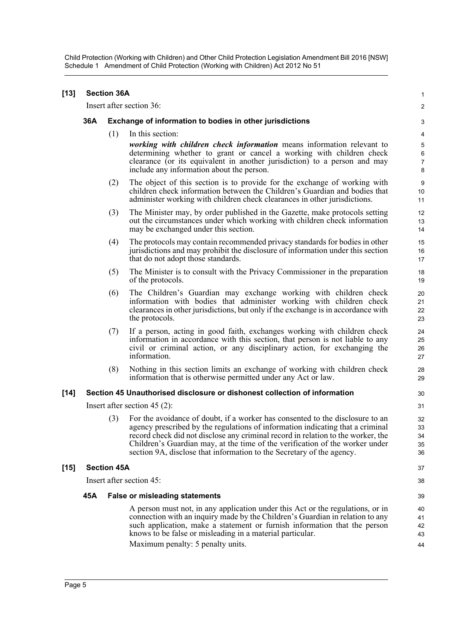| [13]   | <b>Section 36A</b>                                                        |                                                          |                                                                                                                                                                                                                                                                                                                                                                                                              |                                   |  |
|--------|---------------------------------------------------------------------------|----------------------------------------------------------|--------------------------------------------------------------------------------------------------------------------------------------------------------------------------------------------------------------------------------------------------------------------------------------------------------------------------------------------------------------------------------------------------------------|-----------------------------------|--|
|        |                                                                           |                                                          | Insert after section 36:                                                                                                                                                                                                                                                                                                                                                                                     | 2                                 |  |
|        | 36A                                                                       | Exchange of information to bodies in other jurisdictions |                                                                                                                                                                                                                                                                                                                                                                                                              |                                   |  |
|        |                                                                           | (1)                                                      | In this section:                                                                                                                                                                                                                                                                                                                                                                                             | 4                                 |  |
|        |                                                                           |                                                          | working with children check information means information relevant to<br>determining whether to grant or cancel a working with children check<br>clearance (or its equivalent in another jurisdiction) to a person and may<br>include any information about the person.                                                                                                                                      | 5<br>$\,6$<br>$\overline{7}$<br>8 |  |
|        |                                                                           | (2)                                                      | The object of this section is to provide for the exchange of working with<br>children check information between the Children's Guardian and bodies that<br>administer working with children check clearances in other jurisdictions.                                                                                                                                                                         | 9<br>10<br>11                     |  |
|        |                                                                           | (3)                                                      | The Minister may, by order published in the Gazette, make protocols setting<br>out the circumstances under which working with children check information<br>may be exchanged under this section.                                                                                                                                                                                                             | 12<br>13<br>14                    |  |
|        |                                                                           | (4)                                                      | The protocols may contain recommended privacy standards for bodies in other<br>jurisdictions and may prohibit the disclosure of information under this section<br>that do not adopt those standards.                                                                                                                                                                                                         | 15<br>16<br>17                    |  |
|        |                                                                           | (5)                                                      | The Minister is to consult with the Privacy Commissioner in the preparation<br>of the protocols.                                                                                                                                                                                                                                                                                                             | 18<br>19                          |  |
|        |                                                                           | (6)                                                      | The Children's Guardian may exchange working with children check<br>information with bodies that administer working with children check<br>clearances in other jurisdictions, but only if the exchange is in accordance with<br>the protocols.                                                                                                                                                               | 20<br>21<br>22<br>23              |  |
|        |                                                                           | (7)                                                      | If a person, acting in good faith, exchanges working with children check<br>information in accordance with this section, that person is not liable to any<br>civil or criminal action, or any disciplinary action, for exchanging the<br>information.                                                                                                                                                        | 24<br>25<br>26<br>27              |  |
|        |                                                                           | (8)                                                      | Nothing in this section limits an exchange of working with children check<br>information that is otherwise permitted under any Act or law.                                                                                                                                                                                                                                                                   | 28<br>29                          |  |
| [14]   | Section 45 Unauthorised disclosure or dishonest collection of information |                                                          |                                                                                                                                                                                                                                                                                                                                                                                                              |                                   |  |
|        | Insert after section 45 $(2)$ :                                           |                                                          |                                                                                                                                                                                                                                                                                                                                                                                                              |                                   |  |
|        |                                                                           | (3)                                                      | For the avoidance of doubt, if a worker has consented to the disclosure to an<br>agency prescribed by the regulations of information indicating that a criminal<br>record check did not disclose any criminal record in relation to the worker, the<br>Children's Guardian may, at the time of the verification of the worker under<br>section 9A, disclose that information to the Secretary of the agency. | 32<br>33<br>34<br>35<br>36        |  |
| $[15]$ | <b>Section 45A</b>                                                        |                                                          |                                                                                                                                                                                                                                                                                                                                                                                                              |                                   |  |
|        | Insert after section 45:                                                  |                                                          |                                                                                                                                                                                                                                                                                                                                                                                                              |                                   |  |
|        | 45A                                                                       |                                                          | <b>False or misleading statements</b>                                                                                                                                                                                                                                                                                                                                                                        | 39                                |  |
|        |                                                                           |                                                          | A person must not, in any application under this Act or the regulations, or in<br>connection with an inquiry made by the Children's Guardian in relation to any<br>such application, make a statement or furnish information that the person<br>knows to be false or misleading in a material particular.<br>Maximum penalty: 5 penalty units.                                                               | 40<br>41<br>42<br>43<br>44        |  |
|        |                                                                           |                                                          |                                                                                                                                                                                                                                                                                                                                                                                                              |                                   |  |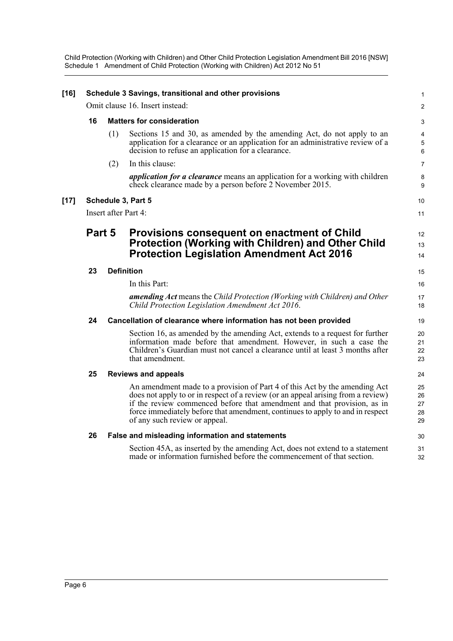| $[16]$ | Schedule 3 Savings, transitional and other provisions |     |                                                                                                                                                                                                                                                                                                                                                             |                            |  |
|--------|-------------------------------------------------------|-----|-------------------------------------------------------------------------------------------------------------------------------------------------------------------------------------------------------------------------------------------------------------------------------------------------------------------------------------------------------------|----------------------------|--|
|        | Omit clause 16. Insert instead:                       |     |                                                                                                                                                                                                                                                                                                                                                             |                            |  |
|        | 16                                                    |     | <b>Matters for consideration</b>                                                                                                                                                                                                                                                                                                                            |                            |  |
|        |                                                       | (1) | Sections 15 and 30, as amended by the amending Act, do not apply to an<br>application for a clearance or an application for an administrative review of a<br>decision to refuse an application for a clearance.                                                                                                                                             | 4<br>5<br>6                |  |
|        |                                                       | (2) | In this clause:                                                                                                                                                                                                                                                                                                                                             | $\overline{7}$             |  |
|        |                                                       |     | <i>application for a clearance</i> means an application for a working with children<br>check clearance made by a person before 2 November 2015.                                                                                                                                                                                                             | 8<br>9                     |  |
| $[17]$ |                                                       |     | Schedule 3, Part 5                                                                                                                                                                                                                                                                                                                                          | 10                         |  |
|        | Insert after Part 4:                                  |     |                                                                                                                                                                                                                                                                                                                                                             |                            |  |
|        | Part 5                                                |     | Provisions consequent on enactment of Child<br><b>Protection (Working with Children) and Other Child</b><br><b>Protection Legislation Amendment Act 2016</b>                                                                                                                                                                                                | 12<br>13<br>14             |  |
|        | 23                                                    |     | <b>Definition</b>                                                                                                                                                                                                                                                                                                                                           |                            |  |
|        |                                                       |     | In this Part:                                                                                                                                                                                                                                                                                                                                               | 16                         |  |
|        |                                                       |     | amending Act means the Child Protection (Working with Children) and Other<br>Child Protection Legislation Amendment Act 2016.                                                                                                                                                                                                                               | 17<br>18                   |  |
|        | 24                                                    |     | Cancellation of clearance where information has not been provided                                                                                                                                                                                                                                                                                           | 19                         |  |
|        |                                                       |     | Section 16, as amended by the amending Act, extends to a request for further<br>information made before that amendment. However, in such a case the<br>Children's Guardian must not cancel a clearance until at least 3 months after<br>that amendment.                                                                                                     | 20<br>21<br>22<br>23       |  |
|        | 25                                                    |     | <b>Reviews and appeals</b>                                                                                                                                                                                                                                                                                                                                  | 24                         |  |
|        |                                                       |     | An amendment made to a provision of Part 4 of this Act by the amending Act<br>does not apply to or in respect of a review (or an appeal arising from a review)<br>if the review commenced before that amendment and that provision, as in<br>force immediately before that amendment, continues to apply to and in respect<br>of any such review or appeal. | 25<br>26<br>27<br>28<br>29 |  |
|        | 26                                                    |     | False and misleading information and statements                                                                                                                                                                                                                                                                                                             | 30                         |  |
|        |                                                       |     | Section 45A, as inserted by the amending Act, does not extend to a statement<br>made or information furnished before the commencement of that section.                                                                                                                                                                                                      | 31<br>32                   |  |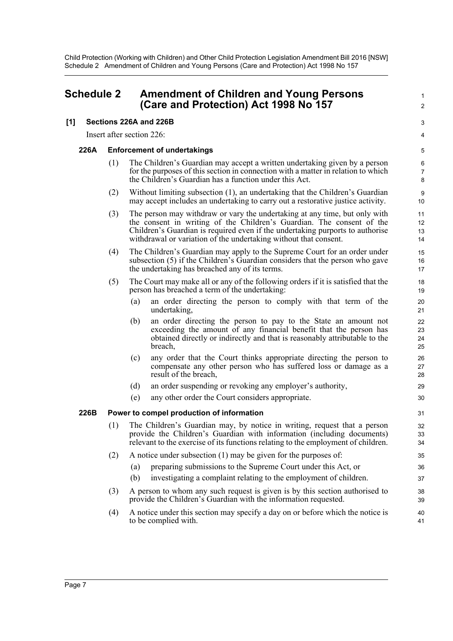Child Protection (Working with Children) and Other Child Protection Legislation Amendment Bill 2016 [NSW] Schedule 2 Amendment of Children and Young Persons (Care and Protection) Act 1998 No 157

## <span id="page-11-0"></span>**Schedule 2 Amendment of Children and Young Persons (Care and Protection) Act 1998 No 157**

#### **[1] Sections 226A and 226B**

Insert after section 226:

#### **226A Enforcement of undertakings**

(1) The Children's Guardian may accept a written undertaking given by a person for the purposes of this section in connection with a matter in relation to which the Children's Guardian has a function under this Act.

1  $\mathfrak{p}$ 

3 4

- (2) Without limiting subsection (1), an undertaking that the Children's Guardian may accept includes an undertaking to carry out a restorative justice activity.
- (3) The person may withdraw or vary the undertaking at any time, but only with the consent in writing of the Children's Guardian. The consent of the Children's Guardian is required even if the undertaking purports to authorise withdrawal or variation of the undertaking without that consent.
- (4) The Children's Guardian may apply to the Supreme Court for an order under subsection (5) if the Children's Guardian considers that the person who gave the undertaking has breached any of its terms.
- (5) The Court may make all or any of the following orders if it is satisfied that the person has breached a term of the undertaking:
	- (a) an order directing the person to comply with that term of the undertaking,
	- (b) an order directing the person to pay to the State an amount not exceeding the amount of any financial benefit that the person has obtained directly or indirectly and that is reasonably attributable to the breach,
	- (c) any order that the Court thinks appropriate directing the person to compensate any other person who has suffered loss or damage as a result of the breach,
	- (d) an order suspending or revoking any employer's authority,
	- (e) any other order the Court considers appropriate.

#### **226B Power to compel production of information**

- (1) The Children's Guardian may, by notice in writing, request that a person provide the Children's Guardian with information (including documents) relevant to the exercise of its functions relating to the employment of children.
- (2) A notice under subsection (1) may be given for the purposes of:
	- (a) preparing submissions to the Supreme Court under this Act, or
	- (b) investigating a complaint relating to the employment of children.
- (3) A person to whom any such request is given is by this section authorised to provide the Children's Guardian with the information requested.
- (4) A notice under this section may specify a day on or before which the notice is to be complied with.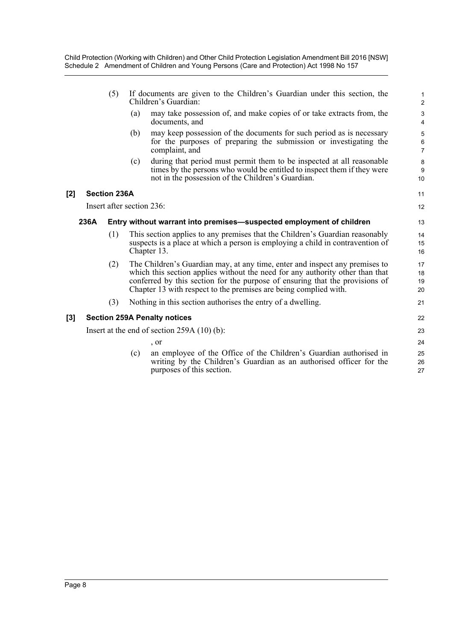- (5) If documents are given to the Children's Guardian under this section, the Children's Guardian:
	- (a) may take possession of, and make copies of or take extracts from, the documents, and
	- (b) may keep possession of the documents for such period as is necessary for the purposes of preparing the submission or investigating the complaint, and
	- (c) during that period must permit them to be inspected at all reasonable times by the persons who would be entitled to inspect them if they were not in the possession of the Children's Guardian.

#### **[2] Section 236A**

Insert after section 236:

#### **236A Entry without warrant into premises—suspected employment of children**

- (1) This section applies to any premises that the Children's Guardian reasonably suspects is a place at which a person is employing a child in contravention of Chapter 13.
- (2) The Children's Guardian may, at any time, enter and inspect any premises to which this section applies without the need for any authority other than that conferred by this section for the purpose of ensuring that the provisions of Chapter 13 with respect to the premises are being complied with.
- (3) Nothing in this section authorises the entry of a dwelling.

#### **[3] Section 259A Penalty notices**

Insert at the end of section 259A (10) (b):

, or

(c) an employee of the Office of the Children's Guardian authorised in writing by the Children's Guardian as an authorised officer for the purposes of this section.

11 12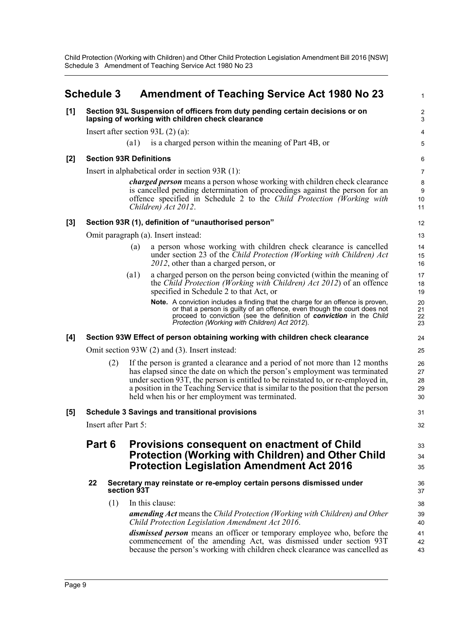Child Protection (Working with Children) and Other Child Protection Legislation Amendment Bill 2016 [NSW] Schedule 3 Amendment of Teaching Service Act 1980 No 23

<span id="page-13-0"></span>

|       | <b>Schedule 3</b>    |     |                            | <b>Amendment of Teaching Service Act 1980 No 23</b>                                                                                                                                                                                                                                                                                                                                      | 1                          |
|-------|----------------------|-----|----------------------------|------------------------------------------------------------------------------------------------------------------------------------------------------------------------------------------------------------------------------------------------------------------------------------------------------------------------------------------------------------------------------------------|----------------------------|
| [1]   |                      |     |                            | Section 93L Suspension of officers from duty pending certain decisions or on<br>lapsing of working with children check clearance                                                                                                                                                                                                                                                         | $\overline{2}$<br>3        |
|       |                      |     |                            | Insert after section 93L $(2)$ (a):                                                                                                                                                                                                                                                                                                                                                      | 4                          |
|       |                      |     | (a1)                       | is a charged person within the meaning of Part 4B, or                                                                                                                                                                                                                                                                                                                                    | 5                          |
| [2]   |                      |     |                            | <b>Section 93R Definitions</b>                                                                                                                                                                                                                                                                                                                                                           | 6                          |
|       |                      |     |                            | Insert in alphabetical order in section 93R (1):                                                                                                                                                                                                                                                                                                                                         | $\overline{7}$             |
|       |                      |     |                            | <i>charged person</i> means a person whose working with children check clearance<br>is cancelled pending determination of proceedings against the person for an<br>offence specified in Schedule 2 to the Child Protection (Working with<br>Children) Act 2012.                                                                                                                          | 8<br>9<br>10<br>11         |
| $[3]$ |                      |     |                            | Section 93R (1), definition of "unauthorised person"                                                                                                                                                                                                                                                                                                                                     | 12                         |
|       |                      |     |                            | Omit paragraph (a). Insert instead:                                                                                                                                                                                                                                                                                                                                                      | 13                         |
|       |                      |     | (a)                        | a person whose working with children check clearance is cancelled<br>under section 23 of the Child Protection (Working with Children) Act<br>2012, other than a charged person, or                                                                                                                                                                                                       | 14<br>15<br>16             |
|       |                      |     | $\left( \text{al} \right)$ | a charged person on the person being convicted (within the meaning of<br>the Child Protection (Working with Children) Act 2012) of an offence<br>specified in Schedule 2 to that Act, or                                                                                                                                                                                                 | 17<br>18<br>19             |
|       |                      |     |                            | Note. A conviction includes a finding that the charge for an offence is proven,<br>or that a person is guilty of an offence, even though the court does not<br>proceed to conviction (see the definition of conviction in the Child<br>Protection (Working with Children) Act 2012).                                                                                                     | 20<br>21<br>22<br>23       |
| [4]   |                      |     |                            | Section 93W Effect of person obtaining working with children check clearance                                                                                                                                                                                                                                                                                                             | 24                         |
|       |                      |     |                            | Omit section 93W (2) and (3). Insert instead:                                                                                                                                                                                                                                                                                                                                            | 25                         |
|       |                      | (2) |                            | If the person is granted a clearance and a period of not more than 12 months<br>has elapsed since the date on which the person's employment was terminated<br>under section 93T, the person is entitled to be reinstated to, or re-employed in,<br>a position in the Teaching Service that is similar to the position that the person<br>held when his or her employment was terminated. | 26<br>27<br>28<br>29<br>30 |
| $[5]$ |                      |     |                            | <b>Schedule 3 Savings and transitional provisions</b>                                                                                                                                                                                                                                                                                                                                    | 31                         |
|       | Insert after Part 5: |     |                            |                                                                                                                                                                                                                                                                                                                                                                                          |                            |
|       | Part 6               |     |                            | <b>Provisions consequent on enactment of Child</b><br><b>Protection (Working with Children) and Other Child</b><br><b>Protection Legislation Amendment Act 2016</b>                                                                                                                                                                                                                      | 33<br>34<br>35             |
|       | 22                   |     | section 93T                | Secretary may reinstate or re-employ certain persons dismissed under                                                                                                                                                                                                                                                                                                                     | 36<br>37                   |
|       |                      | (1) |                            | In this clause:                                                                                                                                                                                                                                                                                                                                                                          | 38                         |
|       |                      |     |                            | <b>amending Act</b> means the Child Protection (Working with Children) and Other<br>Child Protection Legislation Amendment Act 2016.                                                                                                                                                                                                                                                     | 39<br>40                   |
|       |                      |     |                            | <i>dismissed person</i> means an officer or temporary employee who, before the<br>commencement of the amending Act, was dismissed under section 93T<br>because the person's working with children check clearance was cancelled as                                                                                                                                                       | 41<br>42<br>43             |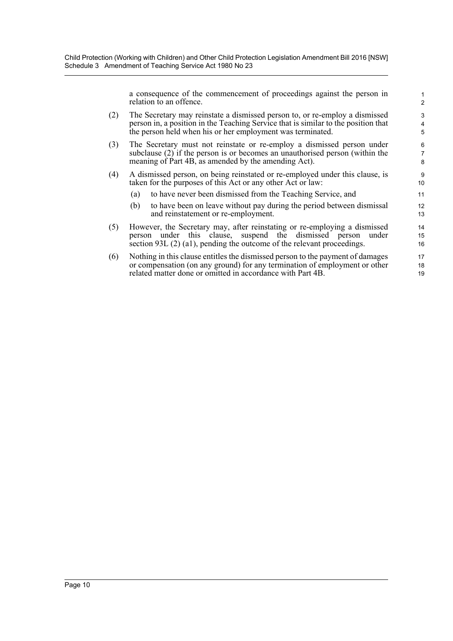a consequence of the commencement of proceedings against the person in relation to an offence.

18 19

- (2) The Secretary may reinstate a dismissed person to, or re-employ a dismissed person in, a position in the Teaching Service that is similar to the position that the person held when his or her employment was terminated.
- (3) The Secretary must not reinstate or re-employ a dismissed person under subclause (2) if the person is or becomes an unauthorised person (within the meaning of Part 4B, as amended by the amending Act).
- (4) A dismissed person, on being reinstated or re-employed under this clause, is taken for the purposes of this Act or any other Act or law:
	- (a) to have never been dismissed from the Teaching Service, and
	- (b) to have been on leave without pay during the period between dismissal and reinstatement or re-employment.
- (5) However, the Secretary may, after reinstating or re-employing a dismissed person under this clause, suspend the dismissed person under section 93L (2) (a1), pending the outcome of the relevant proceedings.
- (6) Nothing in this clause entitles the dismissed person to the payment of damages or compensation (on any ground) for any termination of employment or other related matter done or omitted in accordance with Part 4B. 17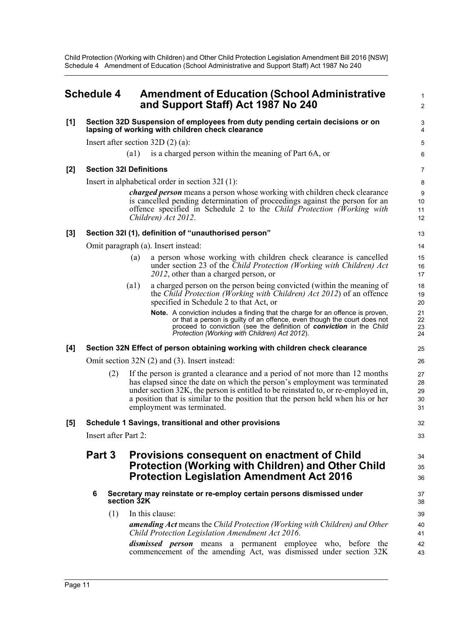Child Protection (Working with Children) and Other Child Protection Legislation Amendment Bill 2016 [NSW] Schedule 4 Amendment of Education (School Administrative and Support Staff) Act 1987 No 240

## <span id="page-15-0"></span>**Schedule 4 Amendment of Education (School Administrative and Support Staff) Act 1987 No 240**

#### **[1] Section 32D Suspension of employees from duty pending certain decisions or on lapsing of working with children check clearance**

Insert after section 32D (2) (a):

(a1) is a charged person within the meaning of Part 6A, or

#### **[2] Section 32I Definitions**

Insert in alphabetical order in section 32I (1):

*charged person* means a person whose working with children check clearance is cancelled pending determination of proceedings against the person for an offence specified in Schedule 2 to the *Child Protection (Working with Children) Act 2012*.

1  $\mathfrak{p}$ 

32 33

34 35 36

#### **[3] Section 32I (1), definition of "unauthorised person"**

Omit paragraph (a). Insert instead:

- (a) a person whose working with children check clearance is cancelled under section 23 of the *Child Protection (Working with Children) Act 2012*, other than a charged person, or
- (a1) a charged person on the person being convicted (within the meaning of the *Child Protection (Working with Children) Act 2012*) of an offence specified in Schedule 2 to that Act, or
	- **Note.** A conviction includes a finding that the charge for an offence is proven, or that a person is guilty of an offence, even though the court does not proceed to conviction (see the definition of *conviction* in the *Child Protection (Working with Children) Act 2012*).

#### **[4] Section 32N Effect of person obtaining working with children check clearance**

Omit section 32N (2) and (3). Insert instead:

(2) If the person is granted a clearance and a period of not more than 12 months has elapsed since the date on which the person's employment was terminated under section 32K, the person is entitled to be reinstated to, or re-employed in, a position that is similar to the position that the person held when his or her employment was terminated.

#### **[5] Schedule 1 Savings, transitional and other provisions**

Insert after Part 2:

### **Part 3 Provisions consequent on enactment of Child Protection (Working with Children) and Other Child Protection Legislation Amendment Act 2016**

- **6 Secretary may reinstate or re-employ certain persons dismissed under section 32K**
	- (1) In this clause:

*amending Act* means the *Child Protection (Working with Children) and Other Child Protection Legislation Amendment Act 2016*.

*dismissed person* means a permanent employee who, before the commencement of the amending Act, was dismissed under section 32K